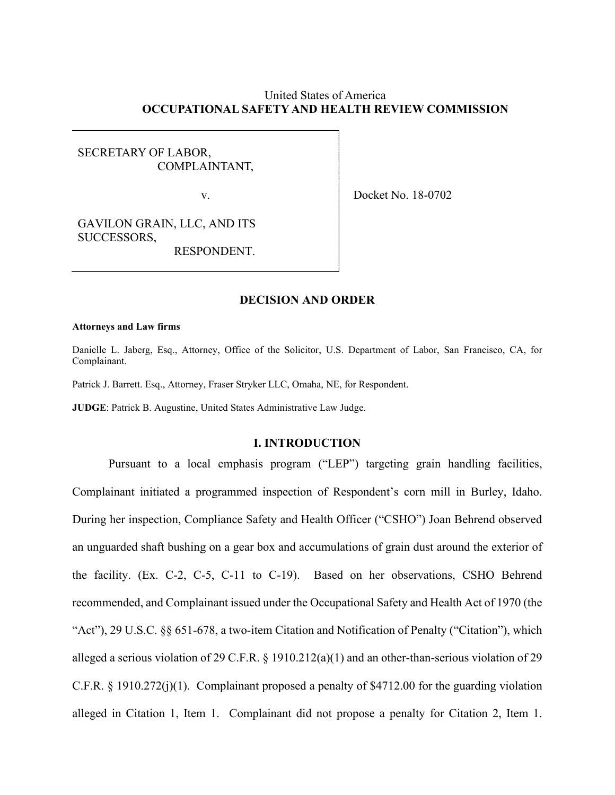# United States of America **OCCUPATIONAL SAFETY AND HEALTH REVIEW COMMISSION**

# SECRETARY OF LABOR, COMPLAINTANT,

v. Docket No. 18-0702

GAVILON GRAIN, LLC, AND ITS SUCCESSORS,

RESPONDENT.

# **DECISION AND ORDER**

#### **Attorneys and Law firms**

j

Danielle L. Jaberg, Esq., Attorney, Office of the Solicitor, U.S. Department of Labor, San Francisco, CA, for Complainant.

Patrick J. Barrett. Esq., Attorney, Fraser Stryker LLC, Omaha, NE, for Respondent.

**JUDGE**: Patrick B. Augustine, United States Administrative Law Judge.

# **I. INTRODUCTION**

Pursuant to a local emphasis program ("LEP") targeting grain handling facilities, Complainant initiated a programmed inspection of Respondent's corn mill in Burley, Idaho. During her inspection, Compliance Safety and Health Officer ("CSHO") Joan Behrend observed an unguarded shaft bushing on a gear box and accumulations of grain dust around the exterior of the facility. (Ex. C-2, C-5, C-11 to C-19). Based on her observations, CSHO Behrend recommended, and Complainant issued under the Occupational Safety and Health Act of 1970 (the "Act"), 29 U.S.C. §§ 651-678, a two-item Citation and Notification of Penalty ("Citation"), which alleged a serious violation of 29 C.F.R. § 1910.212(a)(1) and an other-than-serious violation of 29 C.F.R. § 1910.272(j)(1). Complainant proposed a penalty of \$4712.00 for the guarding violation alleged in Citation 1, Item 1. Complainant did not propose a penalty for Citation 2, Item 1.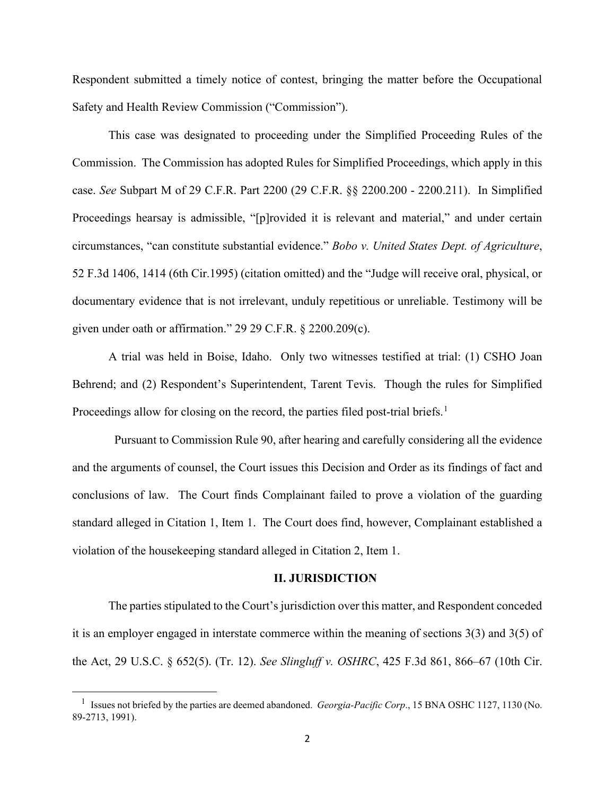Respondent submitted a timely notice of contest, bringing the matter before the Occupational Safety and Health Review Commission ("Commission").

This case was designated to proceeding under the Simplified Proceeding Rules of the Commission. The Commission has adopted Rules for Simplified Proceedings, which apply in this case. *See* Subpart M of 29 C.F.R. Part 2200 (29 C.F.R. §§ 2200.200 - 2200.211). In Simplified Proceedings hearsay is admissible, "[p]rovided it is relevant and material," and under certain circumstances, "can constitute substantial evidence." *Bobo v. United States Dept. of Agriculture*, 52 F.3d 1406, 1414 (6th Cir.1995) (citation omitted) and the "Judge will receive oral, physical, or documentary evidence that is not irrelevant, unduly repetitious or unreliable. Testimony will be given under oath or affirmation." 29 29 C.F.R. § 2200.209(c).

A trial was held in Boise, Idaho. Only two witnesses testified at trial: (1) CSHO Joan Behrend; and (2) Respondent's Superintendent, Tarent Tevis. Though the rules for Simplified Proceedings allow for closing on the record, the parties filed post-trial briefs.<sup>[1](#page-1-0)</sup>

 Pursuant to Commission Rule 90, after hearing and carefully considering all the evidence and the arguments of counsel, the Court issues this Decision and Order as its findings of fact and conclusions of law. The Court finds Complainant failed to prove a violation of the guarding standard alleged in Citation 1, Item 1. The Court does find, however, Complainant established a violation of the housekeeping standard alleged in Citation 2, Item 1.

#### **II. JURISDICTION**

The parties stipulated to the Court's jurisdiction over this matter, and Respondent conceded it is an employer engaged in interstate commerce within the meaning of sections 3(3) and 3(5) of the Act, 29 U.S.C. § 652(5). (Tr. 12). *See Slingluff v. OSHRC*, 425 F.3d 861, 866–67 (10th Cir.

<span id="page-1-0"></span><sup>&</sup>lt;sup>1</sup> Issues not briefed by the parties are deemed abandoned. *Georgia-Pacific Corp.*, 15 BNA OSHC 1127, 1130 (No. 89-2713, 1991).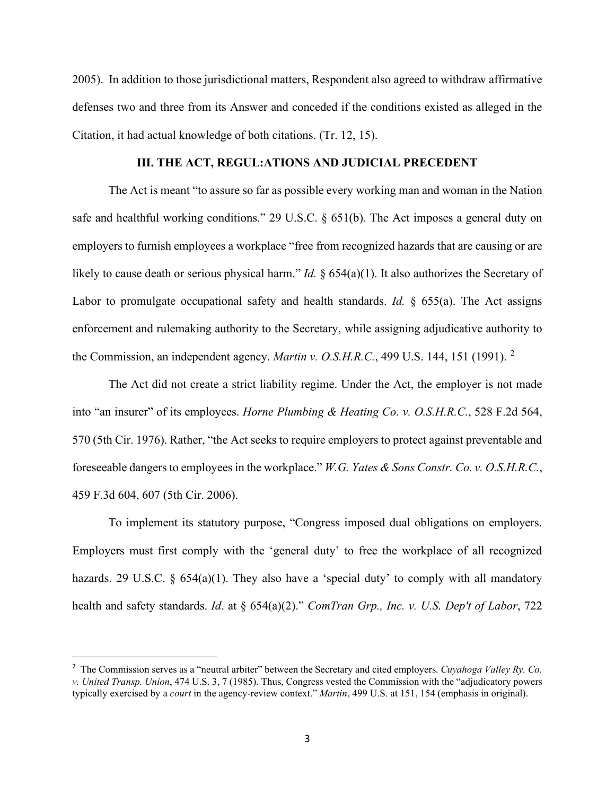2005). In addition to those jurisdictional matters, Respondent also agreed to withdraw affirmative defenses two and three from its Answer and conceded if the conditions existed as alleged in the Citation, it had actual knowledge of both citations. (Tr. 12, 15).

### **III. THE ACT, REGUL:ATIONS AND JUDICIAL PRECEDENT**

The Act is meant "to assure so far as possible every working man and woman in the Nation safe and healthful working conditions." 29 U.S.C. § 651(b). The Act imposes a general duty on employers to furnish employees a workplace "free from recognized hazards that are causing or are likely to cause death or serious physical harm." *Id.* § 654(a)(1). It also authorizes the Secretary of Labor to promulgate occupational safety and health standards. *Id.* § 655(a). The Act assigns enforcement and rulemaking authority to the Secretary, while assigning adjudicative authority to the Commission, an independent agency. *Martin v. O.S.H.R.C.*, 499 U.S. 144, 151 (1991). [2](#page-2-0)

The Act did not create a strict liability regime. Under the Act, the employer is not made into "an insurer" of its employees. *Horne Plumbing & Heating Co. v. O.S.H.R.C.*, 528 F.2d 564, 570 (5th Cir. 1976). Rather, "the Act seeks to require employers to protect against preventable and foreseeable dangers to employees in the workplace." *W.G. Yates & Sons Constr. Co. v. O.S.H.R.C.*, 459 F.3d 604, 607 (5th Cir. 2006).

To implement its statutory purpose, "Congress imposed dual obligations on employers. Employers must first comply with the 'general duty' to free the workplace of all recognized hazards. 29 U.S.C. § 654(a)(1). They also have a 'special duty' to comply with all mandatory health and safety standards. *Id*. at § 654(a)(2)." *ComTran Grp., Inc. v. U.S. Dep't of Labor*, 722

<span id="page-2-0"></span><sup>2</sup> The Commission serves as a "neutral arbiter" between the Secretary and cited employers. *Cuyahoga Valley Ry. Co. v. United Transp. Union*, 474 U.S. 3, 7 (1985). Thus, Congress vested the Commission with the "adjudicatory powers typically exercised by a *court* in the agency-review context." *Martin*, 499 U.S. at 151, 154 (emphasis in original).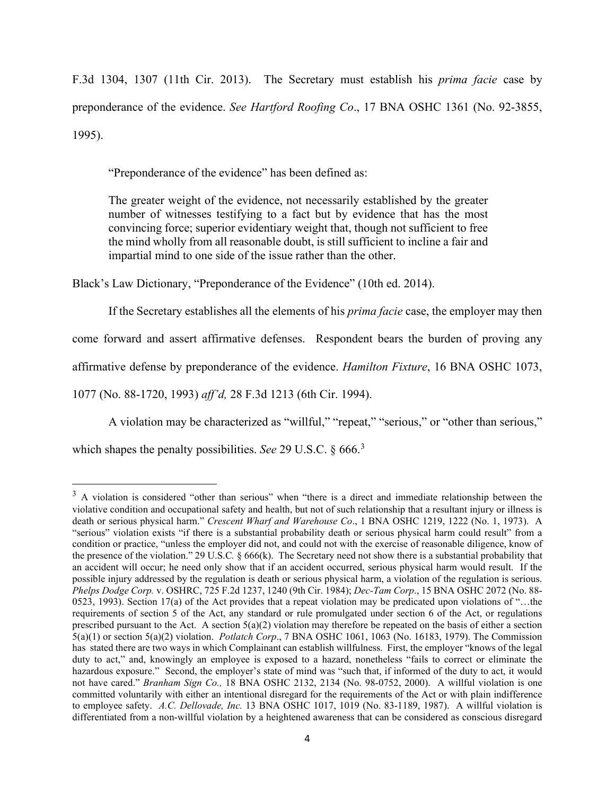F.3d 1304, 1307 (11th Cir. 2013). The Secretary must establish his *prima facie* case by preponderance of the evidence. *See Hartford Roofing Co*., 17 BNA OSHC 1361 (No. 92-3855, 1995).

"Preponderance of the evidence" has been defined as:

The greater weight of the evidence, not necessarily established by the greater number of witnesses testifying to a fact but by evidence that has the most convincing force; superior evidentiary weight that, though not sufficient to free the mind wholly from all reasonable doubt, is still sufficient to incline a fair and impartial mind to one side of the issue rather than the other.

Black's Law Dictionary, "Preponderance of the Evidence" (10th ed. 2014).

If the Secretary establishes all the elements of his *prima facie* case, the employer may then come forward and assert affirmative defenses. Respondent bears the burden of proving any affirmative defense by preponderance of the evidence. *Hamilton Fixture*, 16 BNA OSHC 1073, 1077 (No. 88-1720, 1993) *aff'd,* 28 F.3d 1213 (6th Cir. 1994).

A violation may be characterized as "willful," "repeat," "serious," or "other than serious,"

which shapes the penalty possibilities. *See* 29 U.S.C. § 666.[3](#page-3-0)

<span id="page-3-0"></span><sup>&</sup>lt;sup>3</sup> A violation is considered "other than serious" when "there is a direct and immediate relationship between the violative condition and occupational safety and health, but not of such relationship that a resultant injury or illness is death or serious physical harm." *Crescent Wharf and Warehouse Co*., 1 BNA OSHC 1219, 1222 (No. 1, 1973). A "serious" violation exists "if there is a substantial probability death or serious physical harm could result" from a condition or practice, "unless the employer did not, and could not with the exercise of reasonable diligence, know of the presence of the violation." 29 U.S.C*.* § 666(k). The Secretary need not show there is a substantial probability that an accident will occur; he need only show that if an accident occurred, serious physical harm would result. If the possible injury addressed by the regulation is death or serious physical harm, a violation of the regulation is serious. *Phelps Dodge Corp.* v. OSHRC, 725 F.2d 1237, 1240 (9th Cir. 1984); *Dec-Tam Corp*., 15 BNA OSHC 2072 (No. 88- 0523, 1993). Section 17(a) of the Act provides that a repeat violation may be predicated upon violations of "…the requirements of section 5 of the Act, any standard or rule promulgated under section 6 of the Act, or regulations prescribed pursuant to the Act. A section  $5(a)(2)$  violation may therefore be repeated on the basis of either a section 5(a)(1) or section 5(a)(2) violation. *Potlatch Corp*., 7 BNA OSHC 1061, 1063 (No. 16183, 1979). The Commission has stated there are two ways in which Complainant can establish willfulness. First, the employer "knows of the legal duty to act," and, knowingly an employee is exposed to a hazard, nonetheless "fails to correct or eliminate the hazardous exposure." Second, the employer's state of mind was "such that, if informed of the duty to act, it would not have cared." *Branham Sign Co.,* 18 BNA OSHC 2132, 2134 (No. 98-0752, 2000). A willful violation is one committed voluntarily with either an intentional disregard for the requirements of the Act or with plain indifference to employee safety. *A.C. Dellovade, Inc.* 13 BNA OSHC 1017, 1019 (No. 83-1189, 1987). A willful violation is differentiated from a non-willful violation by a heightened awareness that can be considered as conscious disregard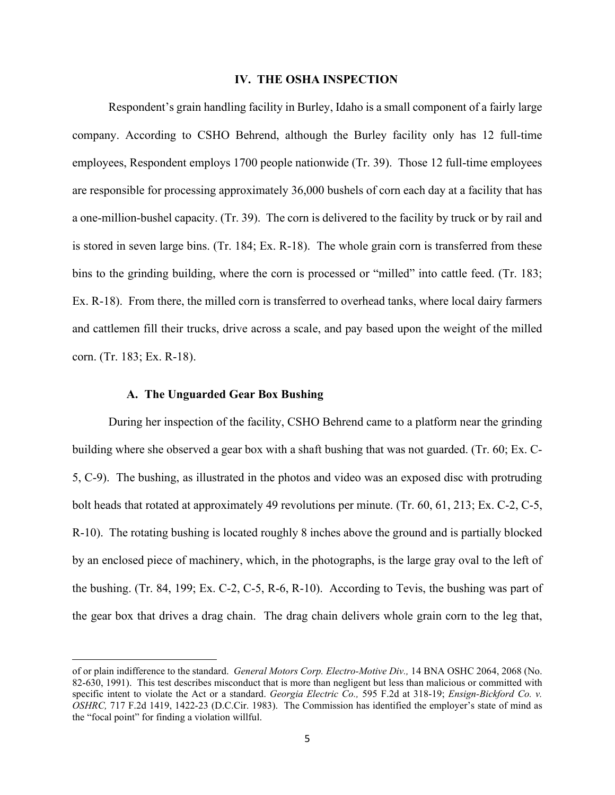#### **IV. THE OSHA INSPECTION**

Respondent's grain handling facility in Burley, Idaho is a small component of a fairly large company. According to CSHO Behrend, although the Burley facility only has 12 full-time employees, Respondent employs 1700 people nationwide (Tr. 39). Those 12 full-time employees are responsible for processing approximately 36,000 bushels of corn each day at a facility that has a one-million-bushel capacity. (Tr. 39). The corn is delivered to the facility by truck or by rail and is stored in seven large bins. (Tr. 184; Ex. R-18). The whole grain corn is transferred from these bins to the grinding building, where the corn is processed or "milled" into cattle feed. (Tr. 183; Ex. R-18). From there, the milled corn is transferred to overhead tanks, where local dairy farmers and cattlemen fill their trucks, drive across a scale, and pay based upon the weight of the milled corn. (Tr. 183; Ex. R-18).

### **A. The Unguarded Gear Box Bushing**

 During her inspection of the facility, CSHO Behrend came to a platform near the grinding building where she observed a gear box with a shaft bushing that was not guarded. (Tr. 60; Ex. C-5, C-9). The bushing, as illustrated in the photos and video was an exposed disc with protruding bolt heads that rotated at approximately 49 revolutions per minute. (Tr. 60, 61, 213; Ex. C-2, C-5, R-10). The rotating bushing is located roughly 8 inches above the ground and is partially blocked by an enclosed piece of machinery, which, in the photographs, is the large gray oval to the left of the bushing. (Tr. 84, 199; Ex. C-2, C-5, R-6, R-10). According to Tevis, the bushing was part of the gear box that drives a drag chain. The drag chain delivers whole grain corn to the leg that,

of or plain indifference to the standard. *General Motors Corp. Electro-Motive Div.,* 14 BNA OSHC 2064, 2068 (No. 82-630, 1991). This test describes misconduct that is more than negligent but less than malicious or committed with specific intent to violate the Act or a standard. *Georgia Electric Co.,* 595 F.2d at 318-19; *Ensign-Bickford Co. v. OSHRC,* 717 F.2d 1419, 1422-23 (D.C.Cir. 1983). The Commission has identified the employer's state of mind as the "focal point" for finding a violation willful.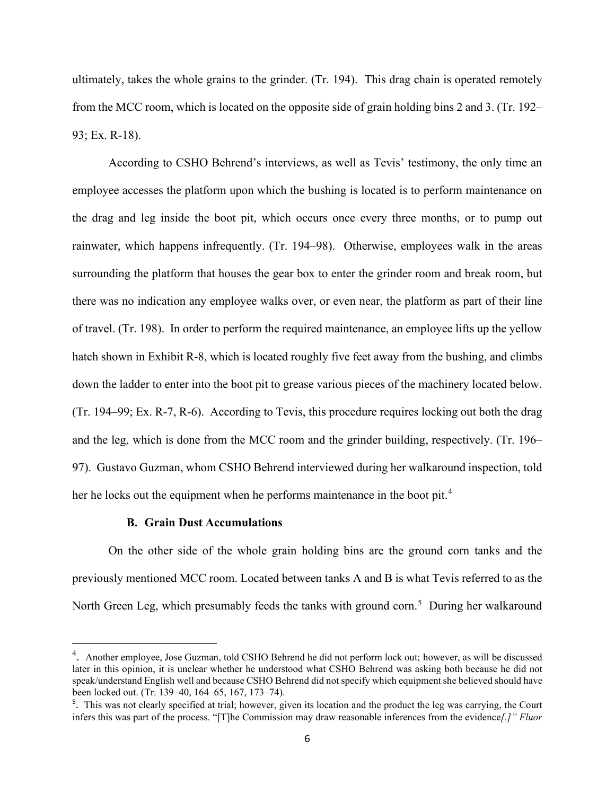ultimately, takes the whole grains to the grinder. (Tr. 194). This drag chain is operated remotely from the MCC room, which is located on the opposite side of grain holding bins 2 and 3. (Tr. 192– 93; Ex. R-18).

According to CSHO Behrend's interviews, as well as Tevis' testimony, the only time an employee accesses the platform upon which the bushing is located is to perform maintenance on the drag and leg inside the boot pit, which occurs once every three months, or to pump out rainwater, which happens infrequently. (Tr. 194–98). Otherwise, employees walk in the areas surrounding the platform that houses the gear box to enter the grinder room and break room, but there was no indication any employee walks over, or even near, the platform as part of their line of travel. (Tr. 198). In order to perform the required maintenance, an employee lifts up the yellow hatch shown in Exhibit R-8, which is located roughly five feet away from the bushing, and climbs down the ladder to enter into the boot pit to grease various pieces of the machinery located below. (Tr. 194–99; Ex. R-7, R-6). According to Tevis, this procedure requires locking out both the drag and the leg, which is done from the MCC room and the grinder building, respectively. (Tr. 196– 97). Gustavo Guzman, whom CSHO Behrend interviewed during her walkaround inspection, told her he locks out the equipment when he performs maintenance in the boot pit.<sup>[4](#page-5-0)</sup>

## **B. Grain Dust Accumulations**

On the other side of the whole grain holding bins are the ground corn tanks and the previously mentioned MCC room. Located between tanks A and B is what Tevis referred to as the North Green Leg, which presumably feeds the tanks with ground corn.<sup>[5](#page-5-1)</sup> During her walkaround

<span id="page-5-0"></span><sup>&</sup>lt;sup>4</sup>. Another employee, Jose Guzman, told CSHO Behrend he did not perform lock out; however, as will be discussed later in this opinion, it is unclear whether he understood what CSHO Behrend was asking both because he did not speak/understand English well and because CSHO Behrend did not specify which equipment she believed should have been locked out. (Tr. 139–40, 164–65, 167, 173–74).

<span id="page-5-1"></span><sup>&</sup>lt;sup>5</sup>. This was not clearly specified at trial; however, given its location and the product the leg was carrying, the Court infers this was part of the process. "[T]he Commission may draw reasonable inferences from the evidence*[.]" Fluor*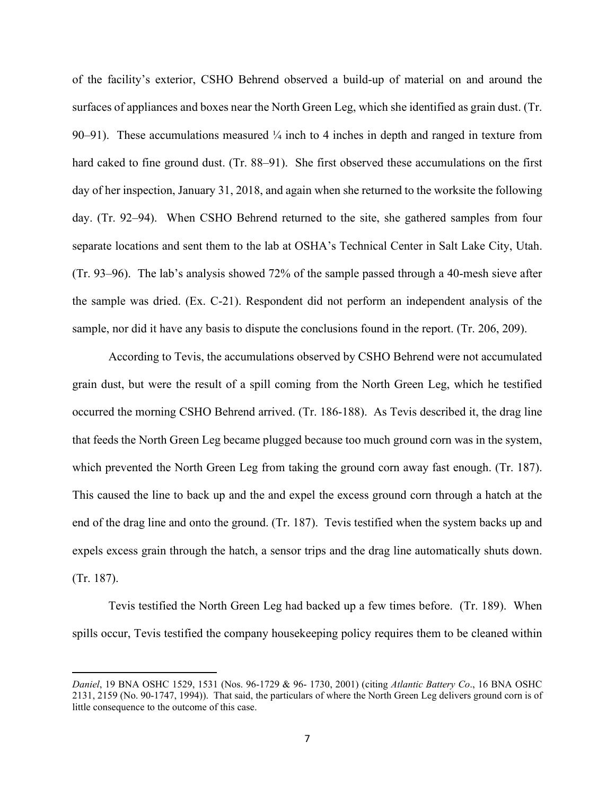of the facility's exterior, CSHO Behrend observed a build-up of material on and around the surfaces of appliances and boxes near the North Green Leg, which she identified as grain dust. (Tr. 90–91). These accumulations measured  $\frac{1}{4}$  inch to 4 inches in depth and ranged in texture from hard caked to fine ground dust. (Tr. 88–91). She first observed these accumulations on the first day of her inspection, January 31, 2018, and again when she returned to the worksite the following day. (Tr. 92–94). When CSHO Behrend returned to the site, she gathered samples from four separate locations and sent them to the lab at OSHA's Technical Center in Salt Lake City, Utah. (Tr. 93–96). The lab's analysis showed 72% of the sample passed through a 40-mesh sieve after the sample was dried. (Ex. C-21). Respondent did not perform an independent analysis of the sample, nor did it have any basis to dispute the conclusions found in the report. (Tr. 206, 209).

According to Tevis, the accumulations observed by CSHO Behrend were not accumulated grain dust, but were the result of a spill coming from the North Green Leg, which he testified occurred the morning CSHO Behrend arrived. (Tr. 186-188). As Tevis described it, the drag line that feeds the North Green Leg became plugged because too much ground corn was in the system, which prevented the North Green Leg from taking the ground corn away fast enough. (Tr. 187). This caused the line to back up and the and expel the excess ground corn through a hatch at the end of the drag line and onto the ground. (Tr. 187). Tevis testified when the system backs up and expels excess grain through the hatch, a sensor trips and the drag line automatically shuts down. (Tr. 187).

Tevis testified the North Green Leg had backed up a few times before. (Tr. 189). When spills occur, Tevis testified the company housekeeping policy requires them to be cleaned within

*Daniel*, 19 BNA OSHC 1529, 1531 (Nos. 96-1729 & 96- 1730, 2001) (citing *Atlantic Battery Co*., 16 BNA OSHC 2131, 2159 (No. 90-1747, 1994)). That said, the particulars of where the North Green Leg delivers ground corn is of little consequence to the outcome of this case.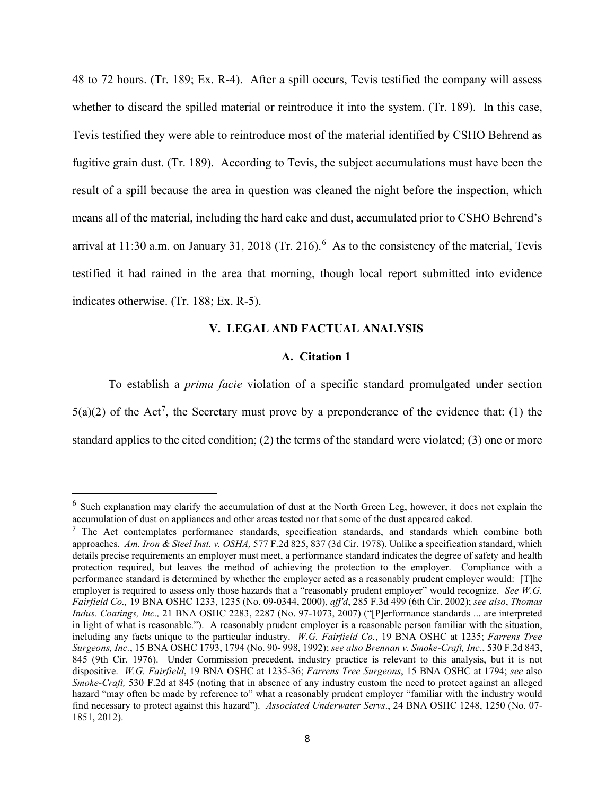48 to 72 hours. (Tr. 189; Ex. R-4). After a spill occurs, Tevis testified the company will assess whether to discard the spilled material or reintroduce it into the system. (Tr. 189). In this case, Tevis testified they were able to reintroduce most of the material identified by CSHO Behrend as fugitive grain dust. (Tr. 189). According to Tevis, the subject accumulations must have been the result of a spill because the area in question was cleaned the night before the inspection, which means all of the material, including the hard cake and dust, accumulated prior to CSHO Behrend's arrival at 11:30 a.m. on January 31, 2018 (Tr. 21[6](#page-7-0)).  $6$  As to the consistency of the material, Tevis testified it had rained in the area that morning, though local report submitted into evidence indicates otherwise. (Tr. 188; Ex. R-5).

# **V. LEGAL AND FACTUAL ANALYSIS**

# **A. Citation 1**

To establish a *prima facie* violation of a specific standard promulgated under section  $5(a)(2)$  of the Act<sup>[7](#page-7-1)</sup>, the Secretary must prove by a preponderance of the evidence that: (1) the standard applies to the cited condition; (2) the terms of the standard were violated; (3) one or more

<span id="page-7-0"></span> $6$  Such explanation may clarify the accumulation of dust at the North Green Leg, however, it does not explain the accumulation of dust on appliances and other areas tested nor that some of the dust appeared caked.

<span id="page-7-1"></span><sup>&</sup>lt;sup>7</sup> The Act contemplates performance standards, specification standards, and standards which combine both approaches. *Am. Iron & Steel Inst. v. OSHA,* 577 F.2d 825, 837 (3d Cir. 1978). Unlike a specification standard, which details precise requirements an employer must meet, a performance standard indicates the degree of safety and health protection required, but leaves the method of achieving the protection to the employer. Compliance with a performance standard is determined by whether the employer acted as a reasonably prudent employer would: [T]he employer is required to assess only those hazards that a "reasonably prudent employer" would recognize. *See W.G. Fairfield Co.,* 19 BNA OSHC 1233, 1235 (No. 09-0344, 2000), *aff'd*, 285 F.3d 499 (6th Cir. 2002); *see also*, *Thomas Indus. Coatings, Inc.,* 21 BNA OSHC 2283, 2287 (No. 97-1073, 2007) ("[P]erformance standards ... are interpreted in light of what is reasonable."). A reasonably prudent employer is a reasonable person familiar with the situation, including any facts unique to the particular industry. *W.G. Fairfield Co.*, 19 BNA OSHC at 1235; *Farrens Tree Surgeons, Inc.*, 15 BNA OSHC 1793, 1794 (No. 90- 998, 1992); *see also Brennan v. Smoke-Craft, Inc.*, 530 F.2d 843, 845 (9th Cir. 1976). Under Commission precedent, industry practice is relevant to this analysis, but it is not dispositive. *W.G. Fairfield*, 19 BNA OSHC at 1235-36; *Farrens Tree Surgeons*, 15 BNA OSHC at 1794; *see* also *Smoke-Craft,* 530 F.2d at 845 (noting that in absence of any industry custom the need to protect against an alleged hazard "may often be made by reference to" what a reasonably prudent employer "familiar with the industry would find necessary to protect against this hazard"). *Associated Underwater Servs*., 24 BNA OSHC 1248, 1250 (No. 07- 1851, 2012).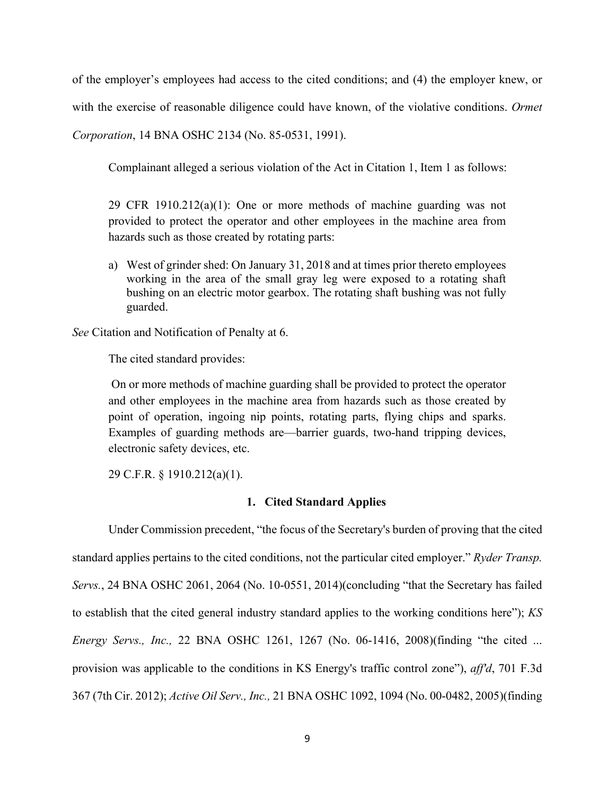of the employer's employees had access to the cited conditions; and (4) the employer knew, or with the exercise of reasonable diligence could have known, of the violative conditions. *Ormet Corporation*, 14 BNA OSHC 2134 (No. 85-0531, 1991).

Complainant alleged a serious violation of the Act in Citation 1, Item 1 as follows:

29 CFR 1910.212(a)(1): One or more methods of machine guarding was not provided to protect the operator and other employees in the machine area from hazards such as those created by rotating parts:

a) West of grinder shed: On January 31, 2018 and at times prior thereto employees working in the area of the small gray leg were exposed to a rotating shaft bushing on an electric motor gearbox. The rotating shaft bushing was not fully guarded.

*See* Citation and Notification of Penalty at 6.

The cited standard provides:

On or more methods of machine guarding shall be provided to protect the operator and other employees in the machine area from hazards such as those created by point of operation, ingoing nip points, rotating parts, flying chips and sparks. Examples of guarding methods are—barrier guards, two-hand tripping devices, electronic safety devices, etc.

29 C.F.R. § 1910.212(a)(1).

# **1. Cited Standard Applies**

Under Commission precedent, "the focus of the Secretary's burden of proving that the cited standard applies pertains to the cited conditions, not the particular cited employer." *Ryder Transp. Servs.*, 24 BNA OSHC 2061, 2064 (No. 10-0551, 2014)(concluding "that the Secretary has failed to establish that the cited general industry standard applies to the working conditions here"); *KS Energy Servs., Inc.,* 22 BNA OSHC 1261, 1267 (No. 06-1416, 2008)(finding "the cited ... provision was applicable to the conditions in KS Energy's traffic control zone"), *aff'd*, 701 F.3d 367 (7th Cir. 2012); *Active Oil Serv., Inc.,* 21 BNA OSHC 1092, 1094 (No. 00-0482, 2005)(finding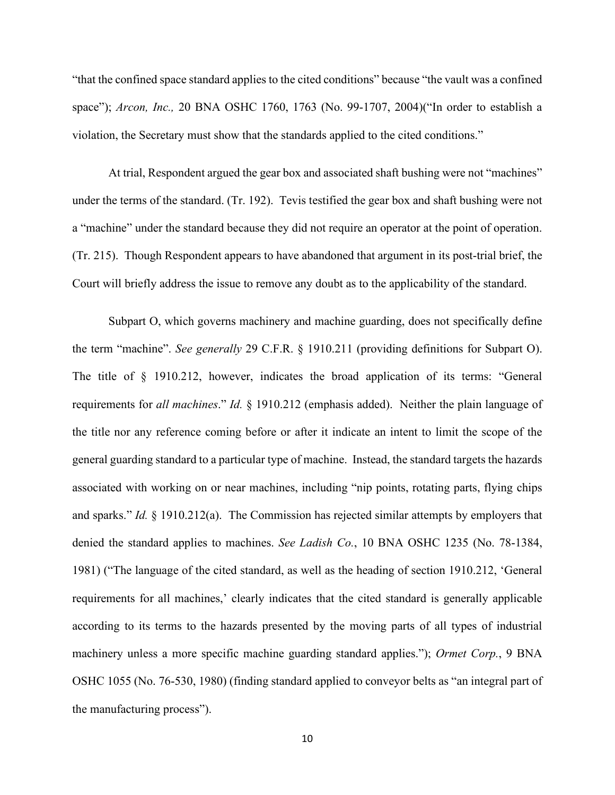"that the confined space standard applies to the cited conditions" because "the vault was a confined space"); *Arcon, Inc.,* 20 BNA OSHC 1760, 1763 (No. 99-1707, 2004)("In order to establish a violation, the Secretary must show that the standards applied to the cited conditions."

At trial, Respondent argued the gear box and associated shaft bushing were not "machines" under the terms of the standard. (Tr. 192). Tevis testified the gear box and shaft bushing were not a "machine" under the standard because they did not require an operator at the point of operation. (Tr. 215). Though Respondent appears to have abandoned that argument in its post-trial brief, the Court will briefly address the issue to remove any doubt as to the applicability of the standard.

Subpart O, which governs machinery and machine guarding, does not specifically define the term "machine". *See generally* 29 C.F.R. § 1910.211 (providing definitions for Subpart O). The title of § 1910.212, however, indicates the broad application of its terms: "General requirements for *all machines*." *Id.* § 1910.212 (emphasis added). Neither the plain language of the title nor any reference coming before or after it indicate an intent to limit the scope of the general guarding standard to a particular type of machine. Instead, the standard targets the hazards associated with working on or near machines, including "nip points, rotating parts, flying chips and sparks." *Id.* § 1910.212(a). The Commission has rejected similar attempts by employers that denied the standard applies to machines. *See Ladish Co.*, 10 BNA OSHC 1235 (No. 78-1384, 1981) ("The language of the cited standard, as well as the heading of section 1910.212, 'General requirements for all machines,' clearly indicates that the cited standard is generally applicable according to its terms to the hazards presented by the moving parts of all types of industrial machinery unless a more specific machine guarding standard applies."); *Ormet Corp.*, 9 BNA OSHC 1055 (No. 76-530, 1980) (finding standard applied to conveyor belts as "an integral part of the manufacturing process").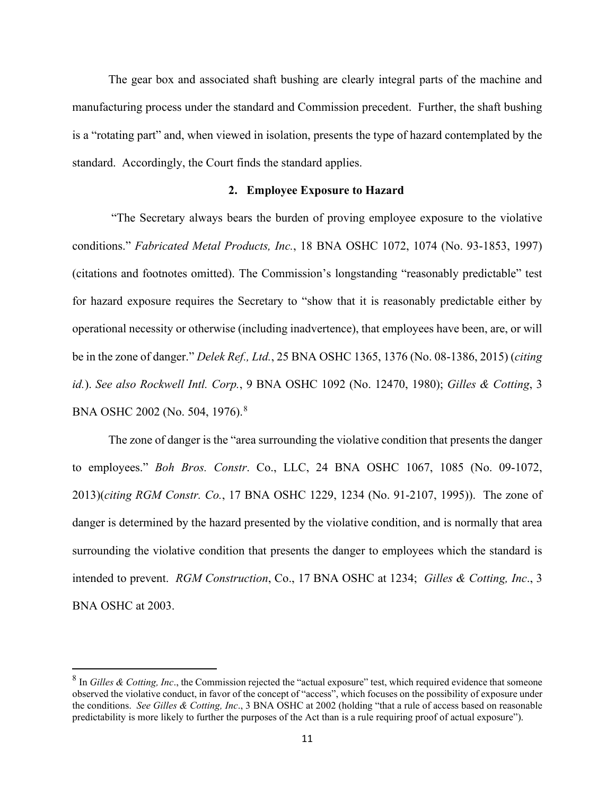The gear box and associated shaft bushing are clearly integral parts of the machine and manufacturing process under the standard and Commission precedent. Further, the shaft bushing is a "rotating part" and, when viewed in isolation, presents the type of hazard contemplated by the standard. Accordingly, the Court finds the standard applies.

# **2. Employee Exposure to Hazard**

"The Secretary always bears the burden of proving employee exposure to the violative conditions." *Fabricated Metal Products, Inc.*, 18 BNA OSHC 1072, 1074 (No. 93-1853, 1997) (citations and footnotes omitted). The Commission's longstanding "reasonably predictable" test for hazard exposure requires the Secretary to "show that it is reasonably predictable either by operational necessity or otherwise (including inadvertence), that employees have been, are, or will be in the zone of danger." *Delek Ref., Ltd.*, 25 BNA OSHC 1365, 1376 (No. 08-1386, 2015) (*citing id.*). *See also Rockwell Intl. Corp.*, 9 BNA OSHC 1092 (No. 12470, 1980); *Gilles & Cotting*, 3 BNA OSHC 2002 (No. 504, 1976).<sup>[8](#page-10-0)</sup>

The zone of danger is the "area surrounding the violative condition that presents the danger to employees." *Boh Bros. Constr*. Co., LLC, 24 BNA OSHC 1067, 1085 (No. 09-1072, 2013)(*citing RGM Constr. Co.*, 17 BNA OSHC 1229, 1234 (No. 91-2107, 1995)). The zone of danger is determined by the hazard presented by the violative condition, and is normally that area surrounding the violative condition that presents the danger to employees which the standard is intended to prevent. *RGM Construction*, Co., 17 BNA OSHC at 1234; *Gilles & Cotting, Inc*., 3 BNA OSHC at 2003.

<span id="page-10-0"></span><sup>&</sup>lt;sup>8</sup> In *Gilles & Cotting, Inc.*, the Commission rejected the "actual exposure" test, which required evidence that someone observed the violative conduct, in favor of the concept of "access", which focuses on the possibility of exposure under the conditions. *See Gilles & Cotting, Inc*., 3 BNA OSHC at 2002 (holding "that a rule of access based on reasonable predictability is more likely to further the purposes of the Act than is a rule requiring proof of actual exposure").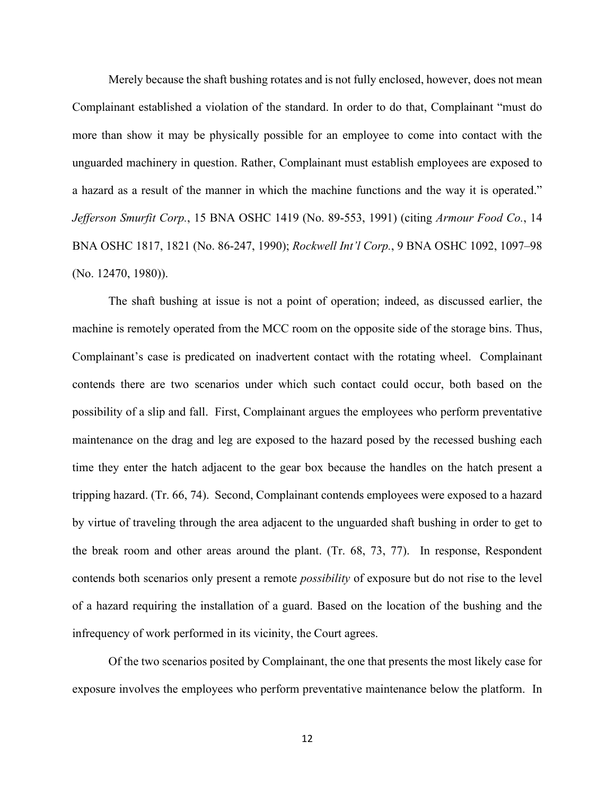Merely because the shaft bushing rotates and is not fully enclosed, however, does not mean Complainant established a violation of the standard. In order to do that, Complainant "must do more than show it may be physically possible for an employee to come into contact with the unguarded machinery in question. Rather, Complainant must establish employees are exposed to a hazard as a result of the manner in which the machine functions and the way it is operated." *Jefferson Smurfit Corp.*, 15 BNA OSHC 1419 (No. 89-553, 1991) (citing *Armour Food Co.*, 14 BNA OSHC 1817, 1821 (No. 86-247, 1990); *Rockwell Int'l Corp.*, 9 BNA OSHC 1092, 1097–98 (No. 12470, 1980)).

The shaft bushing at issue is not a point of operation; indeed, as discussed earlier, the machine is remotely operated from the MCC room on the opposite side of the storage bins. Thus, Complainant's case is predicated on inadvertent contact with the rotating wheel. Complainant contends there are two scenarios under which such contact could occur, both based on the possibility of a slip and fall. First, Complainant argues the employees who perform preventative maintenance on the drag and leg are exposed to the hazard posed by the recessed bushing each time they enter the hatch adjacent to the gear box because the handles on the hatch present a tripping hazard. (Tr. 66, 74). Second, Complainant contends employees were exposed to a hazard by virtue of traveling through the area adjacent to the unguarded shaft bushing in order to get to the break room and other areas around the plant. (Tr. 68, 73, 77). In response, Respondent contends both scenarios only present a remote *possibility* of exposure but do not rise to the level of a hazard requiring the installation of a guard. Based on the location of the bushing and the infrequency of work performed in its vicinity, the Court agrees.

Of the two scenarios posited by Complainant, the one that presents the most likely case for exposure involves the employees who perform preventative maintenance below the platform. In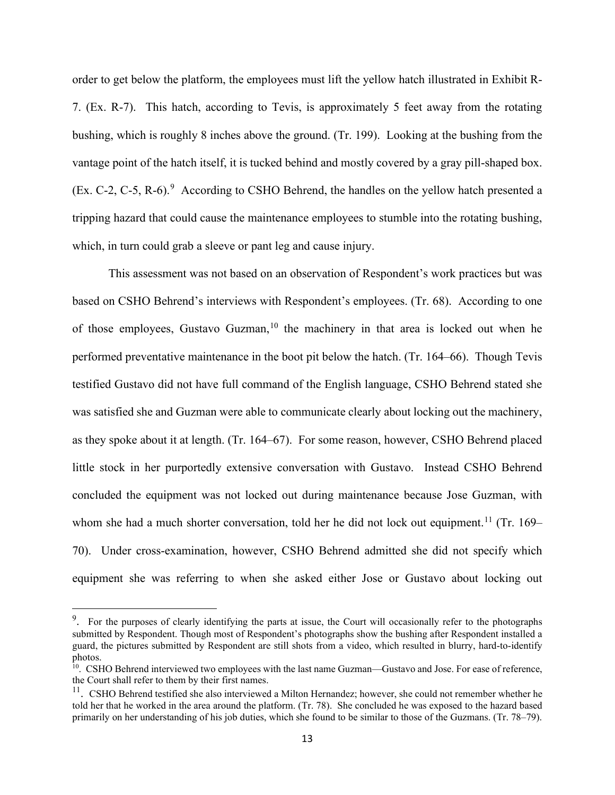order to get below the platform, the employees must lift the yellow hatch illustrated in Exhibit R-7. (Ex. R-7). This hatch, according to Tevis, is approximately 5 feet away from the rotating bushing, which is roughly 8 inches above the ground. (Tr. 199). Looking at the bushing from the vantage point of the hatch itself, it is tucked behind and mostly covered by a gray pill-shaped box. (Ex. C-2, C-5, R-6). $9$  According to CSHO Behrend, the handles on the yellow hatch presented a tripping hazard that could cause the maintenance employees to stumble into the rotating bushing, which, in turn could grab a sleeve or pant leg and cause injury.

This assessment was not based on an observation of Respondent's work practices but was based on CSHO Behrend's interviews with Respondent's employees. (Tr. 68). According to one of those employees, Gustavo Guzman,<sup>[10](#page-12-1)</sup> the machinery in that area is locked out when he performed preventative maintenance in the boot pit below the hatch. (Tr. 164–66). Though Tevis testified Gustavo did not have full command of the English language, CSHO Behrend stated she was satisfied she and Guzman were able to communicate clearly about locking out the machinery, as they spoke about it at length. (Tr. 164–67). For some reason, however, CSHO Behrend placed little stock in her purportedly extensive conversation with Gustavo. Instead CSHO Behrend concluded the equipment was not locked out during maintenance because Jose Guzman, with whom she had a much shorter conversation, told her he did not lock out equipment.<sup>[11](#page-12-2)</sup> (Tr. 169– 70). Under cross-examination, however, CSHO Behrend admitted she did not specify which equipment she was referring to when she asked either Jose or Gustavo about locking out

<span id="page-12-0"></span><sup>&</sup>lt;sup>9</sup>. For the purposes of clearly identifying the parts at issue, the Court will occasionally refer to the photographs submitted by Respondent. Though most of Respondent's photographs show the bushing after Respondent installed a guard, the pictures submitted by Respondent are still shots from a video, which resulted in blurry, hard-to-identify photos.

<span id="page-12-1"></span><sup>&</sup>lt;sup>10</sup>. CSHO Behrend interviewed two employees with the last name Guzman—Gustavo and Jose. For ease of reference, the Court shall refer to them by their first names.

<span id="page-12-2"></span> $t_1$ . CSHO Behrend testified she also interviewed a Milton Hernandez; however, she could not remember whether he told her that he worked in the area around the platform. (Tr. 78). She concluded he was exposed to the hazard based primarily on her understanding of his job duties, which she found to be similar to those of the Guzmans. (Tr. 78–79).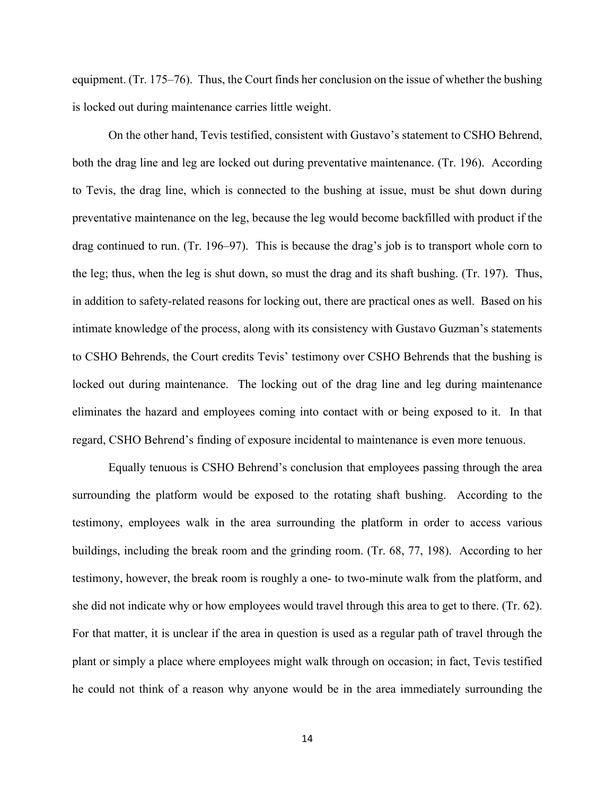equipment. (Tr. 175–76). Thus, the Court finds her conclusion on the issue of whether the bushing is locked out during maintenance carries little weight.

On the other hand, Tevis testified, consistent with Gustavo's statement to CSHO Behrend, both the drag line and leg are locked out during preventative maintenance. (Tr. 196). According to Tevis, the drag line, which is connected to the bushing at issue, must be shut down during preventative maintenance on the leg, because the leg would become backfilled with product if the drag continued to run. (Tr. 196–97). This is because the drag's job is to transport whole corn to the leg; thus, when the leg is shut down, so must the drag and its shaft bushing. (Tr. 197). Thus, in addition to safety-related reasons for locking out, there are practical ones as well. Based on his intimate knowledge of the process, along with its consistency with Gustavo Guzman's statements to CSHO Behrends, the Court credits Tevis' testimony over CSHO Behrends that the bushing is locked out during maintenance. The locking out of the drag line and leg during maintenance eliminates the hazard and employees coming into contact with or being exposed to it. In that regard, CSHO Behrend's finding of exposure incidental to maintenance is even more tenuous.

Equally tenuous is CSHO Behrend's conclusion that employees passing through the area surrounding the platform would be exposed to the rotating shaft bushing. According to the testimony, employees walk in the area surrounding the platform in order to access various buildings, including the break room and the grinding room. (Tr. 68, 77, 198). According to her testimony, however, the break room is roughly a one- to two-minute walk from the platform, and she did not indicate why or how employees would travel through this area to get to there. (Tr. 62). For that matter, it is unclear if the area in question is used as a regular path of travel through the plant or simply a place where employees might walk through on occasion; in fact, Tevis testified he could not think of a reason why anyone would be in the area immediately surrounding the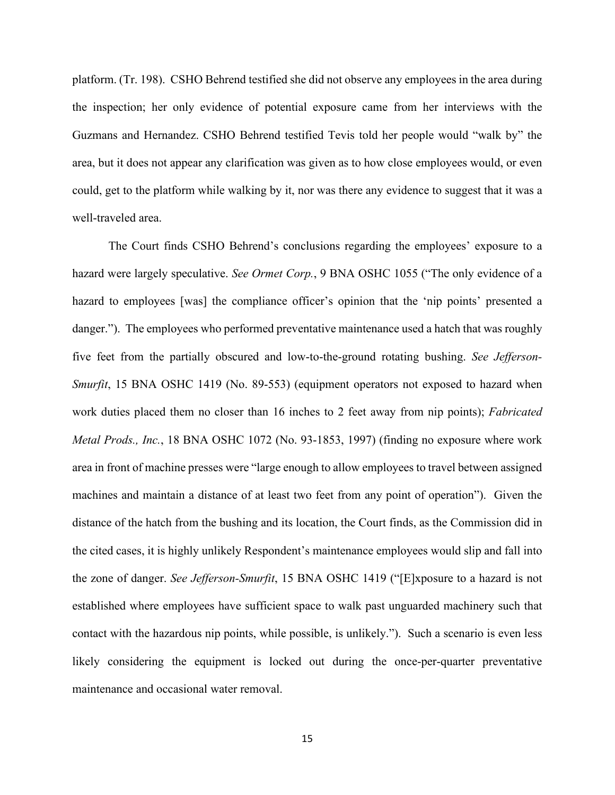platform. (Tr. 198). CSHO Behrend testified she did not observe any employees in the area during the inspection; her only evidence of potential exposure came from her interviews with the Guzmans and Hernandez. CSHO Behrend testified Tevis told her people would "walk by" the area, but it does not appear any clarification was given as to how close employees would, or even could, get to the platform while walking by it, nor was there any evidence to suggest that it was a well-traveled area.

The Court finds CSHO Behrend's conclusions regarding the employees' exposure to a hazard were largely speculative. *See Ormet Corp.*, 9 BNA OSHC 1055 ("The only evidence of a hazard to employees [was] the compliance officer's opinion that the 'nip points' presented a danger."). The employees who performed preventative maintenance used a hatch that was roughly five feet from the partially obscured and low-to-the-ground rotating bushing. *See Jefferson-Smurfit*, 15 BNA OSHC 1419 (No. 89-553) (equipment operators not exposed to hazard when work duties placed them no closer than 16 inches to 2 feet away from nip points); *Fabricated Metal Prods., Inc.*, 18 BNA OSHC 1072 (No. 93-1853, 1997) (finding no exposure where work area in front of machine presses were "large enough to allow employees to travel between assigned machines and maintain a distance of at least two feet from any point of operation"). Given the distance of the hatch from the bushing and its location, the Court finds, as the Commission did in the cited cases, it is highly unlikely Respondent's maintenance employees would slip and fall into the zone of danger. *See Jefferson-Smurfit*, 15 BNA OSHC 1419 ("[E]xposure to a hazard is not established where employees have sufficient space to walk past unguarded machinery such that contact with the hazardous nip points, while possible, is unlikely."). Such a scenario is even less likely considering the equipment is locked out during the once-per-quarter preventative maintenance and occasional water removal.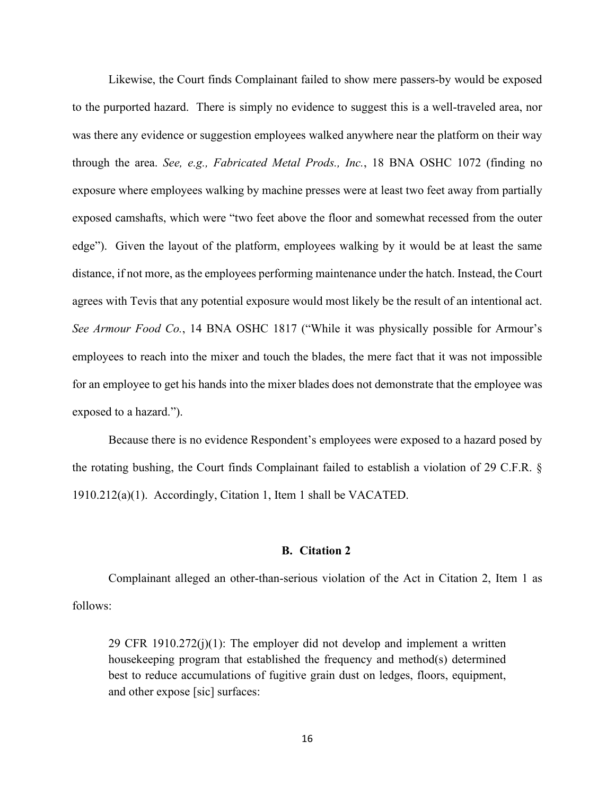Likewise, the Court finds Complainant failed to show mere passers-by would be exposed to the purported hazard. There is simply no evidence to suggest this is a well-traveled area, nor was there any evidence or suggestion employees walked anywhere near the platform on their way through the area. *See, e.g., Fabricated Metal Prods., Inc.*, 18 BNA OSHC 1072 (finding no exposure where employees walking by machine presses were at least two feet away from partially exposed camshafts, which were "two feet above the floor and somewhat recessed from the outer edge"). Given the layout of the platform, employees walking by it would be at least the same distance, if not more, as the employees performing maintenance under the hatch. Instead, the Court agrees with Tevis that any potential exposure would most likely be the result of an intentional act. *See Armour Food Co.*, 14 BNA OSHC 1817 ("While it was physically possible for Armour's employees to reach into the mixer and touch the blades, the mere fact that it was not impossible for an employee to get his hands into the mixer blades does not demonstrate that the employee was exposed to a hazard.").

Because there is no evidence Respondent's employees were exposed to a hazard posed by the rotating bushing, the Court finds Complainant failed to establish a violation of 29 C.F.R. § 1910.212(a)(1). Accordingly, Citation 1, Item 1 shall be VACATED.

#### **B. Citation 2**

Complainant alleged an other-than-serious violation of the Act in Citation 2, Item 1 as follows:

29 CFR 1910.272(j)(1): The employer did not develop and implement a written housekeeping program that established the frequency and method(s) determined best to reduce accumulations of fugitive grain dust on ledges, floors, equipment, and other expose [sic] surfaces: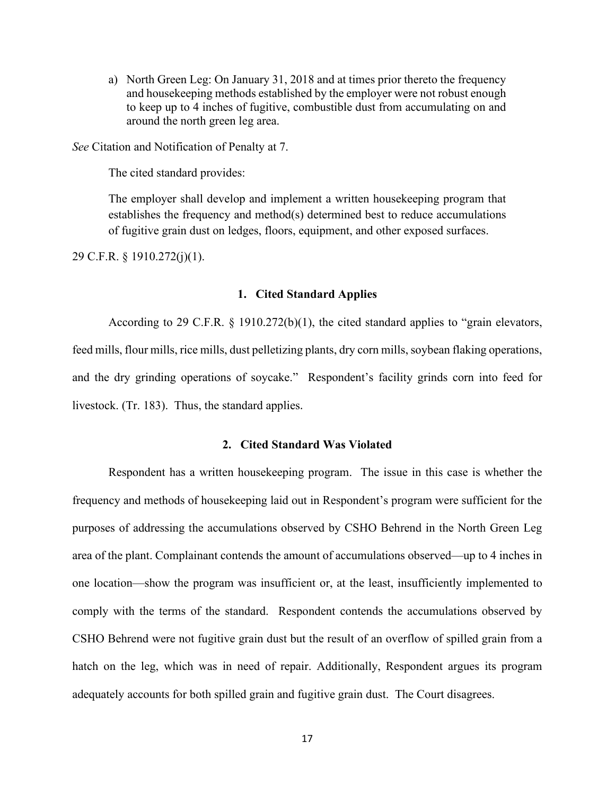a) North Green Leg: On January 31, 2018 and at times prior thereto the frequency and housekeeping methods established by the employer were not robust enough to keep up to 4 inches of fugitive, combustible dust from accumulating on and around the north green leg area.

*See* Citation and Notification of Penalty at 7.

The cited standard provides:

The employer shall develop and implement a written housekeeping program that establishes the frequency and method(s) determined best to reduce accumulations of fugitive grain dust on ledges, floors, equipment, and other exposed surfaces.

29 C.F.R. § 1910.272(j)(1).

### **1. Cited Standard Applies**

According to 29 C.F.R. § 1910.272(b)(1), the cited standard applies to "grain elevators, feed mills, flour mills, rice mills, dust pelletizing plants, dry corn mills, soybean flaking operations, and the dry grinding operations of soycake." Respondent's facility grinds corn into feed for livestock. (Tr. 183). Thus, the standard applies.

### **2. Cited Standard Was Violated**

Respondent has a written housekeeping program. The issue in this case is whether the frequency and methods of housekeeping laid out in Respondent's program were sufficient for the purposes of addressing the accumulations observed by CSHO Behrend in the North Green Leg area of the plant. Complainant contends the amount of accumulations observed—up to 4 inches in one location—show the program was insufficient or, at the least, insufficiently implemented to comply with the terms of the standard. Respondent contends the accumulations observed by CSHO Behrend were not fugitive grain dust but the result of an overflow of spilled grain from a hatch on the leg, which was in need of repair. Additionally, Respondent argues its program adequately accounts for both spilled grain and fugitive grain dust. The Court disagrees.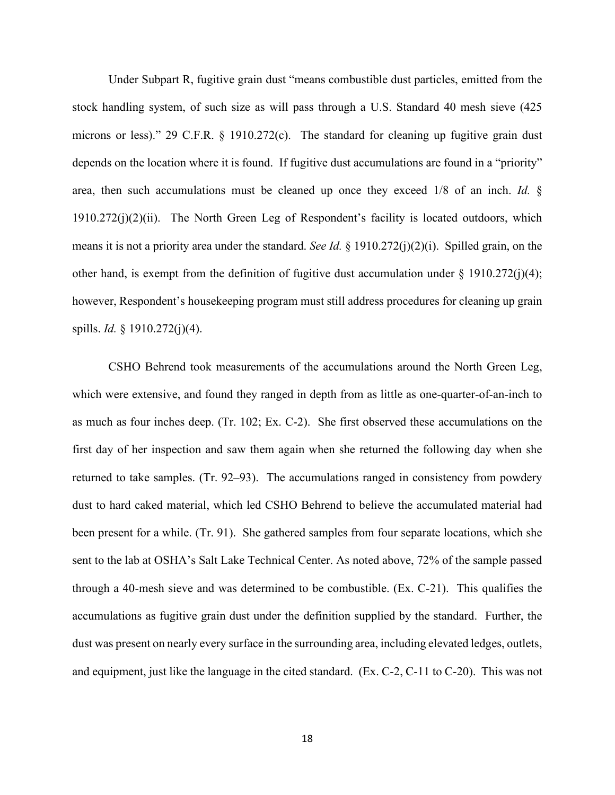Under Subpart R, fugitive grain dust "means combustible dust particles, emitted from the stock handling system, of such size as will pass through a U.S. Standard 40 mesh sieve (425 microns or less)." 29 C.F.R. § 1910.272(c). The standard for cleaning up fugitive grain dust depends on the location where it is found. If fugitive dust accumulations are found in a "priority" area, then such accumulations must be cleaned up once they exceed 1/8 of an inch. *Id.* §  $1910.272(i)(2)(ii)$ . The North Green Leg of Respondent's facility is located outdoors, which means it is not a priority area under the standard. *See Id.* § 1910.272(j)(2)(i). Spilled grain, on the other hand, is exempt from the definition of fugitive dust accumulation under  $\S$  1910.272(j)(4); however, Respondent's housekeeping program must still address procedures for cleaning up grain spills. *Id.* § 1910.272(j)(4).

CSHO Behrend took measurements of the accumulations around the North Green Leg, which were extensive, and found they ranged in depth from as little as one-quarter-of-an-inch to as much as four inches deep. (Tr. 102; Ex. C-2). She first observed these accumulations on the first day of her inspection and saw them again when she returned the following day when she returned to take samples. (Tr. 92–93). The accumulations ranged in consistency from powdery dust to hard caked material, which led CSHO Behrend to believe the accumulated material had been present for a while. (Tr. 91). She gathered samples from four separate locations, which she sent to the lab at OSHA's Salt Lake Technical Center. As noted above, 72% of the sample passed through a 40-mesh sieve and was determined to be combustible. (Ex. C-21). This qualifies the accumulations as fugitive grain dust under the definition supplied by the standard. Further, the dust was present on nearly every surface in the surrounding area, including elevated ledges, outlets, and equipment, just like the language in the cited standard. (Ex. C-2, C-11 to C-20). This was not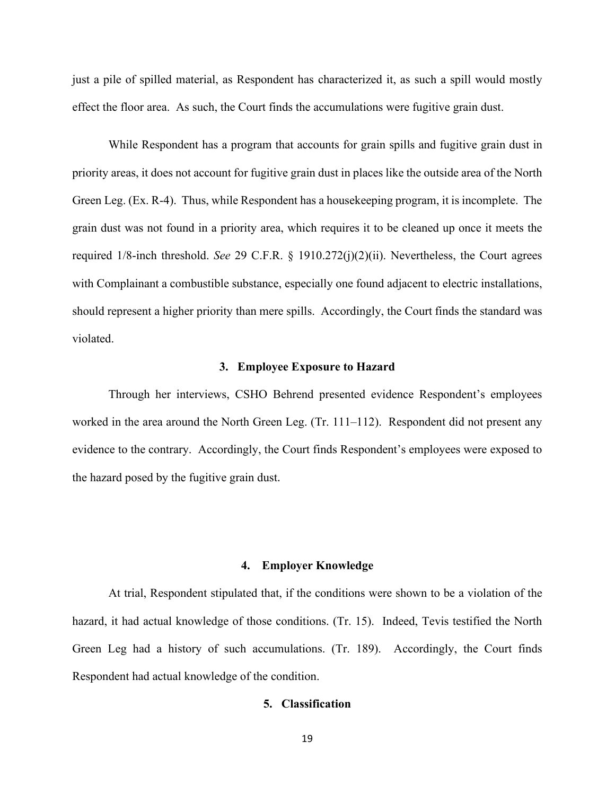just a pile of spilled material, as Respondent has characterized it, as such a spill would mostly effect the floor area. As such, the Court finds the accumulations were fugitive grain dust.

While Respondent has a program that accounts for grain spills and fugitive grain dust in priority areas, it does not account for fugitive grain dust in places like the outside area of the North Green Leg. (Ex. R-4). Thus, while Respondent has a housekeeping program, it is incomplete. The grain dust was not found in a priority area, which requires it to be cleaned up once it meets the required 1/8-inch threshold. *See* 29 C.F.R. § 1910.272(j)(2)(ii). Nevertheless, the Court agrees with Complainant a combustible substance, especially one found adjacent to electric installations, should represent a higher priority than mere spills. Accordingly, the Court finds the standard was violated.

### **3. Employee Exposure to Hazard**

Through her interviews, CSHO Behrend presented evidence Respondent's employees worked in the area around the North Green Leg. (Tr. 111–112). Respondent did not present any evidence to the contrary. Accordingly, the Court finds Respondent's employees were exposed to the hazard posed by the fugitive grain dust.

### **4. Employer Knowledge**

 At trial, Respondent stipulated that, if the conditions were shown to be a violation of the hazard, it had actual knowledge of those conditions. (Tr. 15). Indeed, Tevis testified the North Green Leg had a history of such accumulations. (Tr. 189). Accordingly, the Court finds Respondent had actual knowledge of the condition.

# **5. Classification**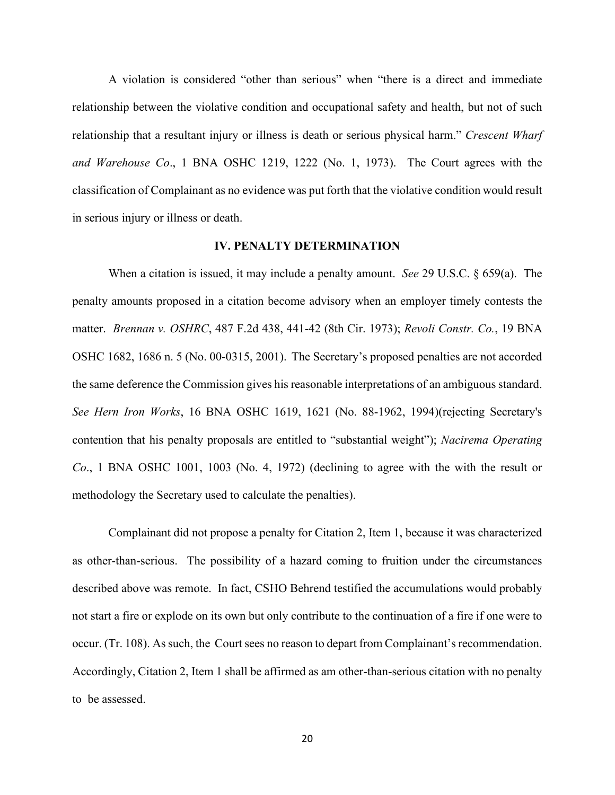A violation is considered "other than serious" when "there is a direct and immediate relationship between the violative condition and occupational safety and health, but not of such relationship that a resultant injury or illness is death or serious physical harm." *Crescent Wharf and Warehouse Co*., 1 BNA OSHC 1219, 1222 (No. 1, 1973). The Court agrees with the classification of Complainant as no evidence was put forth that the violative condition would result in serious injury or illness or death.

# **IV. PENALTY DETERMINATION**

When a citation is issued, it may include a penalty amount. *See* 29 U.S.C. § 659(a). The penalty amounts proposed in a citation become advisory when an employer timely contests the matter. *Brennan v. OSHRC*, 487 F.2d 438, 441-42 (8th Cir. 1973); *Revoli Constr. Co.*, 19 BNA OSHC 1682, 1686 n. 5 (No. 00-0315, 2001). The Secretary's proposed penalties are not accorded the same deference the Commission gives his reasonable interpretations of an ambiguous standard. *See Hern Iron Works*, 16 BNA OSHC 1619, 1621 (No. 88-1962, 1994)(rejecting Secretary's contention that his penalty proposals are entitled to "substantial weight"); *Nacirema Operating Co*., 1 BNA OSHC 1001, 1003 (No. 4, 1972) (declining to agree with the with the result or methodology the Secretary used to calculate the penalties).

 Complainant did not propose a penalty for Citation 2, Item 1, because it was characterized as other-than-serious. The possibility of a hazard coming to fruition under the circumstances described above was remote. In fact, CSHO Behrend testified the accumulations would probably not start a fire or explode on its own but only contribute to the continuation of a fire if one were to occur. (Tr. 108). As such, the Court sees no reason to depart from Complainant's recommendation. Accordingly, Citation 2, Item 1 shall be affirmed as am other-than-serious citation with no penalty to be assessed.